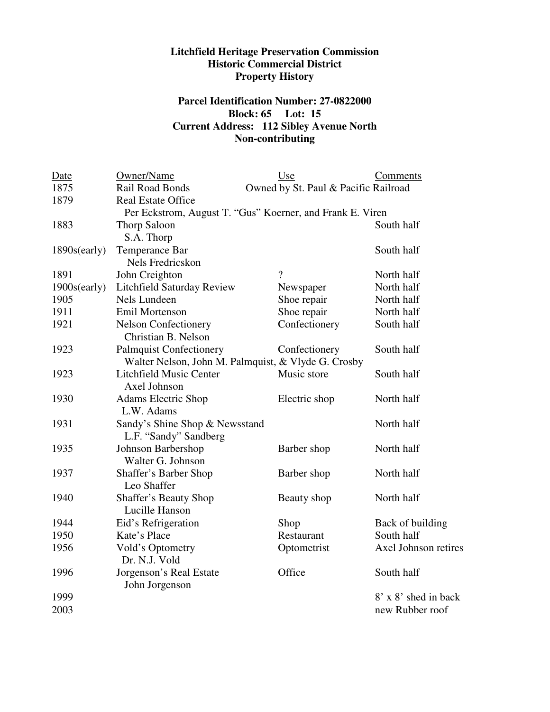## **Litchfield Heritage Preservation Commission Historic Commercial District Property History**

## **Parcel Identification Number: 27-0822000 Block: 65 Lot: 15 Current Address: 112 Sibley Avenue North Non-contributing**

| Date                                                      | Owner/Name                        | Use                                  | Comments             |  |
|-----------------------------------------------------------|-----------------------------------|--------------------------------------|----------------------|--|
| 1875                                                      | Rail Road Bonds                   | Owned by St. Paul & Pacific Railroad |                      |  |
| 1879                                                      | <b>Real Estate Office</b>         |                                      |                      |  |
| Per Eckstrom, August T. "Gus" Koerner, and Frank E. Viren |                                   |                                      |                      |  |
| 1883                                                      | Thorp Saloon                      |                                      | South half           |  |
|                                                           | S.A. Thorp                        |                                      |                      |  |
| 1890s(early)                                              | Temperance Bar                    |                                      | South half           |  |
|                                                           | Nels Fredricskon                  |                                      |                      |  |
| 1891                                                      | John Creighton                    | $\gamma$                             | North half           |  |
| 1900s(early)                                              | <b>Litchfield Saturday Review</b> | Newspaper                            | North half           |  |
| 1905                                                      | Nels Lundeen                      | Shoe repair                          | North half           |  |
| 1911                                                      | <b>Emil Mortenson</b>             | Shoe repair                          | North half           |  |
| 1921                                                      | <b>Nelson Confectionery</b>       | Confectionery                        | South half           |  |
|                                                           | Christian B. Nelson               |                                      |                      |  |
| 1923                                                      | <b>Palmquist Confectionery</b>    | Confectionery                        | South half           |  |
| Walter Nelson, John M. Palmquist, & Vlyde G. Crosby       |                                   |                                      |                      |  |
| 1923                                                      | <b>Litchfield Music Center</b>    | Music store                          | South half           |  |
|                                                           | Axel Johnson                      |                                      |                      |  |
| 1930                                                      | <b>Adams Electric Shop</b>        | Electric shop                        | North half           |  |
|                                                           | L.W. Adams                        |                                      |                      |  |
| 1931                                                      | Sandy's Shine Shop & Newsstand    |                                      | North half           |  |
|                                                           | L.F. "Sandy" Sandberg             |                                      |                      |  |
| 1935                                                      | Johnson Barbershop                | Barber shop                          | North half           |  |
|                                                           | Walter G. Johnson                 |                                      |                      |  |
| 1937                                                      | Shaffer's Barber Shop             | Barber shop                          | North half           |  |
|                                                           | Leo Shaffer                       |                                      |                      |  |
| 1940                                                      | Shaffer's Beauty Shop             | Beauty shop                          | North half           |  |
|                                                           | Lucille Hanson                    |                                      |                      |  |
| 1944                                                      | Eid's Refrigeration               | Shop                                 | Back of building     |  |
| 1950                                                      | Kate's Place                      | Restaurant                           | South half           |  |
| 1956                                                      | Vold's Optometry                  | Optometrist                          | Axel Johnson retires |  |
|                                                           | Dr. N.J. Vold                     |                                      |                      |  |
| 1996                                                      | Jorgenson's Real Estate           | Office                               | South half           |  |
|                                                           | John Jorgenson                    |                                      |                      |  |
| 1999                                                      |                                   |                                      | 8' x 8' shed in back |  |
| 2003                                                      |                                   |                                      | new Rubber roof      |  |